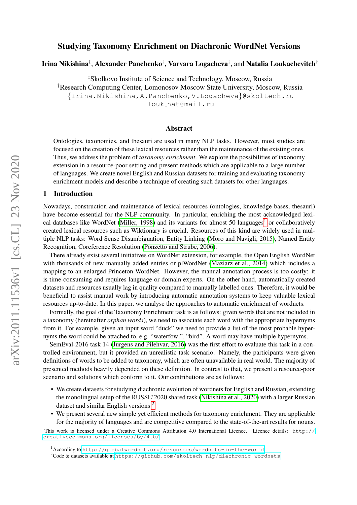# arXiv:2011.11536v1 [cs.CL] 23 Nov 2020 arXiv:2011.11536v1 [cs.CL] 23 Nov 2020

# Studying Taxonomy Enrichment on Diachronic WordNet Versions

# Irina Nikishina‡, Alexander Panchenko‡, Varvara Logacheva‡, and Natalia Loukachevitch†

‡Skolkovo Institute of Science and Technology, Moscow, Russia †Research Computing Center, Lomonosov Moscow State University, Moscow, Russia {Irina.Nikishina,A.Panchenko,V.Logacheva}@skoltech.ru louk nat@mail.ru

## Abstract

Ontologies, taxonomies, and thesauri are used in many NLP tasks. However, most studies are focused on the creation of these lexical resources rather than the maintenance of the existing ones. Thus, we address the problem of *taxonomy enrichment*. We explore the possibilities of taxonomy extension in a resource-poor setting and present methods which are applicable to a large number of languages. We create novel English and Russian datasets for training and evaluating taxonomy enrichment models and describe a technique of creating such datasets for other languages.

#### 1 Introduction

Nowadays, construction and maintenance of lexical resources (ontologies, knowledge bases, thesauri) have become essential for the NLP community. In particular, enriching the most acknowledged lexi-cal databases like WordNet [\(Miller, 1998\)](#page-10-0) and its variants for almost 50 languages<sup>[1](#page-0-0)</sup> or collaboratively created lexical resources such as Wiktionary is crucial. Resources of this kind are widely used in multiple NLP tasks: Word Sense Disambiguation, Entity Linking [\(Moro and Navigli, 2015\)](#page-10-1), Named Entity Recognition, Coreference Resolution [\(Ponzetto and Strube, 2006\)](#page-11-0).

There already exist several initiatives on WordNet extension, for example, the Open English WordNet with thousands of new manually added entries or plWordNet [\(Maziarz et al., 2014\)](#page-10-2) which includes a mapping to an enlarged Princeton WordNet. However, the manual annotation process is too costly: it is time-consuming and requires language or domain experts. On the other hand, automatically created datasets and resources usually lag in quality compared to manually labelled ones. Therefore, it would be beneficial to assist manual work by introducing automatic annotation systems to keep valuable lexical resources up-to-date. In this paper, we analyse the approaches to automatic enrichment of wordnets.

Formally, the goal of the Taxonomy Enrichment task is as follows: given words that are not included in a taxonomy (hereinafter *orphan words*), we need to associate each word with the appropriate hypernyms from it. For example, given an input word "duck" we need to provide a list of the most probable hypernyms the word could be attached to, e.g. "waterfowl", "bird". A word may have multiple hypernyms.

SemEval-2016 task 14 [\(Jurgens and Pilehvar, 2016\)](#page-10-3) was the first effort to evaluate this task in a controlled environment, but it provided an unrealistic task scenario. Namely, the participants were given definitions of words to be added to taxonomy, which are often unavailable in real world. The majority of presented methods heavily depended on these definition. In contrast to that, we present a resource-poor scenario and solutions which conform to it. Our contributions are as follows:

- We create datasets for studying diachronic evolution of wordnets for English and Russian, extending the monolingual setup of the RUSSE'2020 shared task [\(Nikishina et al., 2020\)](#page-11-1) with a larger Russian dataset and similar English versions.[2](#page-0-1)
- We present several new simple yet efficient methods for taxonomy enrichment. They are applicable for the majority of languages and are competitive compared to the state-of-the-art results for nouns.

This work is licensed under a Creative Commons Attribution 4.0 International Licence. Licence details: [http://](http://creativecommons.org/licenses/by/4.0/) [creativecommons.org/licenses/by/4.0/](http://creativecommons.org/licenses/by/4.0/).

<span id="page-0-0"></span><sup>1</sup>According to <http://globalwordnet.org/resources/wordnets-in-the-world>

<span id="page-0-1"></span><sup>&</sup>lt;sup>2</sup>Code & datasets available at <https://github.com/skoltech-nlp/diachronic-wordnets>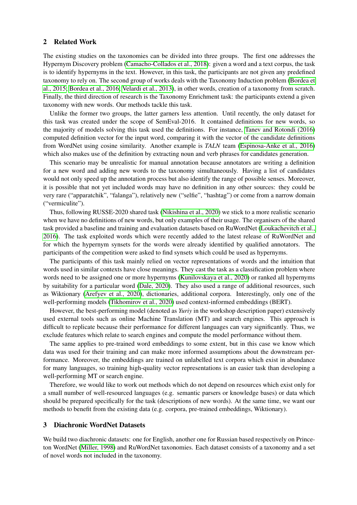#### <span id="page-1-1"></span>2 Related Work

The existing studies on the taxonomies can be divided into three groups. The first one addresses the Hypernym Discovery problem [\(Camacho-Collados et al., 2018\)](#page-10-4): given a word and a text corpus, the task is to identify hypernyms in the text. However, in this task, the participants are not given any predefined taxonomy to rely on. The second group of works deals with the Taxonomy Induction problem [\(Bordea et](#page-10-5) [al., 2015;](#page-10-5) [Bordea et al., 2016;](#page-10-6) [Velardi et al., 2013\)](#page-11-2), in other words, creation of a taxonomy from scratch. Finally, the third direction of research is the Taxonomy Enrichment task: the participants extend a given taxonomy with new words. Our methods tackle this task.

Unlike the former two groups, the latter garners less attention. Until recently, the only dataset for this task was created under the scope of SemEval-2016. It contained definitions for new words, so the majority of models solving this task used the definitions. For instance, [Tanev and Rotondi \(2016\)](#page-11-3) computed definition vector for the input word, comparing it with the vector of the candidate definitions from WordNet using cosine similarity. Another example is *TALN* team [\(Espinosa-Anke et al., 2016\)](#page-10-7) which also makes use of the definition by extracting noun and verb phrases for candidates generation.

This scenario may be unrealistic for manual annotation because annotators are writing a definition for a new word and adding new words to the taxonomy simultaneously. Having a list of candidates would not only speed up the annotation process but also identify the range of possible senses. Moreover, it is possible that not yet included words may have no definition in any other sources: they could be very rare ("apparatchik", "falanga"), relatively new ("selfie", "hashtag") or come from a narrow domain ("vermiculite").

Thus, following RUSSE-2020 shared task [\(Nikishina et al., 2020\)](#page-11-1) we stick to a more realistic scenario when we have no definitions of new words, but only examples of their usage. The organisers of the shared task provided a baseline and training and evaluation datasets based on RuWordNet [\(Loukachevitch et al.,](#page-10-8) [2016\)](#page-10-8). The task exploited words which were recently added to the latest release of RuWordNet and for which the hypernym synsets for the words were already identified by qualified annotators. The participants of the competition were asked to find synsets which could be used as hypernyms.

The participants of this task mainly relied on vector representations of words and the intuition that words used in similar contexts have close meanings. They cast the task as a classification problem where words need to be assigned one or more hypernyms [\(Kunilovskaya et al., 2020\)](#page-10-9) or ranked all hypernyms by suitability for a particular word [\(Dale, 2020\)](#page-10-10). They also used a range of additional resources, such as Wiktionary [\(Arefyev et al., 2020\)](#page-10-11), dictionaries, additional corpora. Interestingly, only one of the well-performing models [\(Tikhomirov et al., 2020\)](#page-11-4) used context-informed embeddings (BERT).

However, the best-performing model (denoted as *Yuriy* in the workshop description paper) extensively used external tools such as online Machine Translation (MT) and search engines. This approach is difficult to replicate because their performance for different languages can vary significantly. Thus, we exclude features which relate to search engines and compute the model performance without them.

The same applies to pre-trained word embeddings to some extent, but in this case we know which data was used for their training and can make more informed assumptions about the downstream performance. Moreover, the embeddings are trained on unlabelled text corpora which exist in abundance for many languages, so training high-quality vector representations is an easier task than developing a well-performing MT or search engine.

Therefore, we would like to work out methods which do not depend on resources which exist only for a small number of well-resourced languages (e.g. semantic parsers or knowledge bases) or data which should be prepared specifically for the task (descriptions of new words). At the same time, we want our methods to benefit from the existing data (e.g. corpora, pre-trained embeddings, Wiktionary).

## <span id="page-1-0"></span>3 Diachronic WordNet Datasets

We build two diachronic datasets: one for English, another one for Russian based respectively on Princeton WordNet [\(Miller, 1998\)](#page-10-0) and RuWordNet taxonomies. Each dataset consists of a taxonomy and a set of novel words not included in the taxonomy.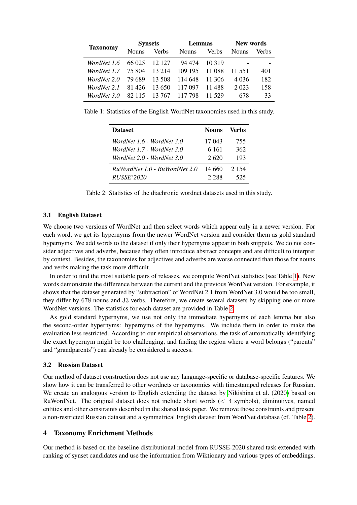<span id="page-2-0"></span>

|                 |              | <b>Synsets</b> | <b>Lemmas</b> |        | <b>New words</b> |       |
|-----------------|--------------|----------------|---------------|--------|------------------|-------|
| <b>Taxonomy</b> | <b>Nouns</b> | Verbs          | <b>Nouns</b>  | Verbs  | <b>Nouns</b>     | Verbs |
| WordNet 1.6     | 66 025       | 12 127         | 94 474        | 10.319 |                  |       |
| WordNet 1.7     | 75 804       | 13 214         | 109 195       | 11 088 | 11.551           | 401   |
| WordNet 2.0     | 79 689       | 13 508         | 114 648       | 11 306 | 4 0 3 6          | 182   |
| WordNet 2.1     | 81 426       | 13.650         | 117 097       | 11 488 | 2 0 2 3          | 158   |
| WordNet 3.0     | 82.115       | 13 767         | 117 798       | 11.529 | 678              | 33    |

<span id="page-2-1"></span>Table 1: Statistics of the English WordNet taxonomies used in this study.

| <b>Dataset</b>                | <b>Nouns</b> | Verbs   |
|-------------------------------|--------------|---------|
| WordNet 1.6 - WordNet 3.0     | 17 043       | 755     |
| WordNet 1.7 - WordNet 3.0     | 6 161        | 362     |
| WordNet 2.0 - WordNet 3.0     | 2.620        | 193     |
| RuWordNet 1.0 - RuWordNet 2.0 | 14 660       | 2 1 5 4 |
| <i>RUSSE</i> '2020            | 2.288        | 525     |

Table 2: Statistics of the diachronic wordnet datasets used in this study.

### 3.1 English Dataset

We choose two versions of WordNet and then select words which appear only in a newer version. For each word, we get its hypernyms from the newer WordNet version and consider them as gold standard hypernyms. We add words to the dataset if only their hypernyms appear in both snippets. We do not consider adjectives and adverbs, because they often introduce abstract concepts and are difficult to interpret by context. Besides, the taxonomies for adjectives and adverbs are worse connected than those for nouns and verbs making the task more difficult.

In order to find the most suitable pairs of releases, we compute WordNet statistics (see Table [1\)](#page-2-0). New words demonstrate the difference between the current and the previous WordNet version. For example, it shows that the dataset generated by "subtraction" of WordNet 2.1 from WordNet 3.0 would be too small, they differ by 678 nouns and 33 verbs. Therefore, we create several datasets by skipping one or more WordNet versions. The statistics for each dataset are provided in Table [2.](#page-2-1)

As gold standard hypernyms, we use not only the immediate hypernyms of each lemma but also the second-order hypernyms: hypernyms of the hypernyms. We include them in order to make the evaluation less restricted. According to our empirical observations, the task of automatically identifying the exact hypernym might be too challenging, and finding the region where a word belongs ("parents" and "grandparents") can already be considered a success.

#### 3.2 Russian Dataset

Our method of dataset construction does not use any language-specific or database-specific features. We show how it can be transferred to other wordnets or taxonomies with timestamped releases for Russian. We create an analogous version to English extending the dataset by [Nikishina et al. \(2020\)](#page-11-1) based on RuWordNet. The original dataset does not include short words  $\ll 4$  symbols), diminutives, named entities and other constraints described in the shared task paper. We remove those constraints and present a non-restricted Russian dataset and a symmetrical English dataset from WordNet database (cf. Table [2\)](#page-2-1).

# <span id="page-2-2"></span>4 Taxonomy Enrichment Methods

Our method is based on the baseline distributional model from RUSSE-2020 shared task extended with ranking of synset candidates and use the information from Wiktionary and various types of embeddings.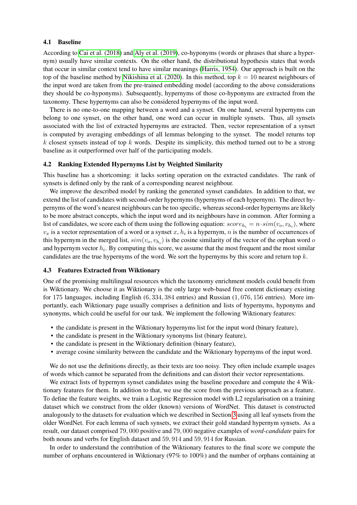#### 4.1 Baseline

According to [Cai et al. \(2018\)](#page-10-12) and [Aly et al. \(2019\)](#page-9-0), co-hyponyms (words or phrases that share a hypernym) usually have similar contexts. On the other hand, the distributional hypothesis states that words that occur in similar context tend to have similar meanings [\(Harris, 1954\)](#page-10-13). Our approach is built on the top of the baseline method by [Nikishina et al. \(2020\)](#page-11-1). In this method, top  $k = 10$  nearest neighbours of the input word are taken from the pre-trained embedding model (according to the above considerations they should be co-hyponyms). Subsequently, hypernyms of those co-hyponyms are extracted from the taxonomy. These hypernyms can also be considered hypernyms of the input word.

There is no one-to-one mapping between a word and a synset. On one hand, several hypernyms can belong to one synset, on the other hand, one word can occur in multiple synsets. Thus, all synsets associated with the list of extracted hypernyms are extracted. Then, vector representation of a synset is computed by averaging embeddings of all lemmas belonging to the synset. The model returns top k closest synsets instead of top k words. Despite its simplicity, this method turned out to be a strong baseline as it outperformed over half of the participating models.

#### 4.2 Ranking Extended Hypernyms List by Weighted Similarity

This baseline has a shortcoming: it lacks sorting operation on the extracted candidates. The rank of synsets is defined only by the rank of a corresponding nearest neighbour.

We improve the described model by ranking the generated synset candidates. In addition to that, we extend the list of candidates with second-order hypernyms (hypernyms of each hypernym). The direct hypernyms of the word's nearest neighbours can be too specific, whereas second-order hypernyms are likely to be more abstract concepts, which the input word and its neighbours have in common. After forming a list of candidates, we score each of them using the following equation:  $score_{h_i} = n \cdot sim(v_o, v_{h_i})$ , where  $v_x$  is a vector representation of a word or a synset x,  $h_i$  is a hypernym, n is the number of occurrences of this hypernym in the merged list,  $sim(v_0, v_{h_i})$  is the cosine similarity of the vector of the orphan word of and hypernym vector  $h_i$ . By computing this score, we assume that the most frequent and the most similar candidates are the true hypernyms of the word. We sort the hypernyms by this score and return top  $k$ .

#### 4.3 Features Extracted from Wiktionary

One of the promising multilingual resources which the taxonomy enrichment models could benefit from is Wiktionary. We choose it as Wiktionary is the only large web-based free content dictionary existing for 175 languages, including English (6, 334, 384 entries) and Russian (1, 076, 156 entries). More importantly, each Wiktionary page usually comprises a definition and lists of hypernyms, hyponyms and synonyms, which could be useful for our task. We implement the following Wiktionary features:

- the candidate is present in the Wiktionary hypernyms list for the input word (binary feature),
- the candidate is present in the Wiktionary synonyms list (binary feature),
- the candidate is present in the Wiktionary definition (binary feature),
- average cosine similarity between the candidate and the Wiktionary hypernyms of the input word.

We do not use the definitions directly, as their texts are too noisy. They often include example usages of words which cannot be separated from the definitions and can distort their vector representations.

We extract lists of hypernym synset candidates using the baseline procedure and compute the 4 Wiktionary features for them. In addition to that, we use the score from the previous approach as a feature. To define the feature weights, we train a Logistic Regression model with L2 regularisation on a training dataset which we construct from the older (known) versions of WordNet. This dataset is constructed analogously to the datasets for evaluation which we described in Section [3](#page-1-0) using all leaf synsets from the older WordNet. For each lemma of such synsets, we extract their gold standard hypernym synsets. As a result, our dataset comprised 79, 000 positive and 79, 000 negative examples of *word-candidate* pairs for both nouns and verbs for English dataset and 59, 914 and 59, 914 for Russian.

In order to understand the contribution of the Wiktionary features to the final score we compute the number of orphans encountered in Wiktionary (97% to 100%) and the number of orphans containing at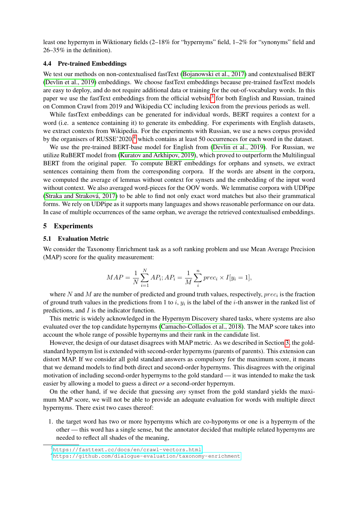least one hypernym in Wiktionary fields (2–18% for "hypernyms" field, 1–2% for "synonyms" field and 26–35% in the definition).

#### 4.4 Pre-trained Embeddings

We test our methods on non-contextualised fastText [\(Bojanowski et al., 2017\)](#page-10-14) and contextualised BERT [\(Devlin et al., 2019\)](#page-10-15) embeddings. We choose fastText embeddings because pre-trained fastText models are easy to deploy, and do not require additional data or training for the out-of-vocabulary words. In this paper we use the fastText embeddings from the official website<sup>[3](#page-4-0)</sup> for both English and Russian, trained on Common Crawl from 2019 and Wikipedia CC including lexicon from the previous periods as well.

While fastText embeddings can be generated for individual words, BERT requires a context for a word (i.e. a sentence containing it) to generate its embedding. For experiments with English datasets, we extract contexts from Wikipedia. For the experiments with Russian, we use a news corpus provided by the organisers of RUSSE'2020,<sup>[4](#page-4-1)</sup> which contains at least 50 occurrences for each word in the dataset.

We use the pre-trained BERT-base model for English from [\(Devlin et al., 2019\)](#page-10-15). For Russian, we utilize RuBERT model from [\(Kuratov and Arkhipov, 2019\)](#page-10-16), which proved to outperform the Multilingual BERT from the original paper. To compute BERT embeddings for orphans and synsets, we extract sentences containing them from the corresponding corpora. If the words are absent in the corpora, we computed the average of lemmas without context for synsets and the embedding of the input word without context. We also averaged word-pieces for the OOV words. We lemmatise corpora with UDPipe [\(Straka and Strakova, 2017\)](#page-11-5) to be able to find not only exact word matches but also their grammatical ´ forms. We rely on UDPipe as it supports many languages and shows reasonable performance on our data. In case of multiple occurrences of the same orphan, we average the retrieved contextualised embeddings.

#### 5 Experiments

#### 5.1 Evaluation Metric

We consider the Taxonomy Enrichment task as a soft ranking problem and use Mean Average Precision (MAP) score for the quality measurement:

$$
MAP = \frac{1}{N} \sum_{i=1}^{N} AP_i; AP_i = \frac{1}{M} \sum_{i}^{n} prec_i \times I[y_i = 1],
$$

where N and M are the number of predicted and ground truth values, respectively,  $prec_i$  is the fraction of ground truth values in the predictions from 1 to i,  $y_i$  is the label of the i-th answer in the ranked list of predictions, and I is the indicator function.

This metric is widely acknowledged in the Hypernym Discovery shared tasks, where systems are also evaluated over the top candidate hypernyms [\(Camacho-Collados et al., 2018\)](#page-10-4). The MAP score takes into account the whole range of possible hypernyms and their rank in the candidate list.

However, the design of our dataset disagrees with MAP metric. As we described in Section [3,](#page-1-0) the goldstandard hypernym list is extended with second-order hypernyms (parents of parents). This extension can distort MAP. If we consider all gold standard answers as compulsory for the maximum score, it means that we demand models to find both direct and second-order hypernyms. This disagrees with the original motivation of including second-order hypernyms to the gold standard — it was intended to make the task easier by allowing a model to guess a direct *or* a second-order hypernym.

On the other hand, if we decide that guessing *any* synset from the gold standard yields the maximum MAP score, we will not be able to provide an adequate evaluation for words with multiple direct hypernyms. There exist two cases thereof:

1. the target word has two or more hypernyms which are co-hyponyms or one is a hypernym of the other — this word has a single sense, but the annotator decided that multiple related hypernyms are needed to reflect all shades of the meaning,

<span id="page-4-0"></span><sup>3</sup><https://fasttext.cc/docs/en/crawl-vectors.html>

<span id="page-4-1"></span><sup>4</sup><https://github.com/dialogue-evaluation/taxonomy-enrichment>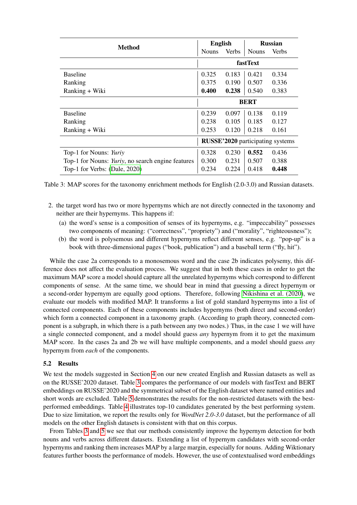<span id="page-5-0"></span>

|                                                   |                                  | <b>English</b> |              | <b>Russian</b> |  |
|---------------------------------------------------|----------------------------------|----------------|--------------|----------------|--|
| Method                                            | <b>Nouns</b>                     | <b>Verbs</b>   | <b>Nouns</b> | Verbs          |  |
|                                                   | <b>fastText</b>                  |                |              |                |  |
| <b>Baseline</b>                                   | 0.325                            | 0.183          | 0.421        | 0.334          |  |
| Ranking                                           | 0.375                            | 0.190          | 0.507        | 0.336          |  |
| Ranking + Wiki                                    | 0.400                            | 0.238          | 0.540        | 0.383          |  |
|                                                   | <b>BERT</b>                      |                |              |                |  |
| <b>Baseline</b>                                   | 0.239                            | 0.097          | 0.138        | 0.119          |  |
| Ranking                                           | 0.238                            | 0.105          | 0.185        | 0.127          |  |
| Ranking + Wiki                                    | 0.253                            | 0.120          | 0.218        | 0.161          |  |
|                                                   | RUSSE'2020 participating systems |                |              |                |  |
| Top-1 for Nouns: Yuriy                            | 0.328                            | 0.230          | 0.552        | 0.436          |  |
| Top-1 for Nouns: Yuriy, no search engine features | 0.300                            | 0.231          | 0.507        | 0.388          |  |
| Top-1 for Verbs: (Dale, 2020)                     | 0.234                            | 0.224          | 0.418        | 0.448          |  |

Table 3: MAP scores for the taxonomy enrichment methods for English (2.0-3.0) and Russian datasets.

- 2. the target word has two or more hypernyms which are not directly connected in the taxonomy and neither are their hypernyms. This happens if:
	- (a) the word's sense is a composition of senses of its hypernyms, e.g. "impeccability" possesses two components of meaning: ("correctness", "propriety") and ("morality", "righteousness");
	- (b) the word is polysemous and different hypernyms reflect different senses, e.g. "pop-up" is a book with three-dimensional pages ("book, publication") and a baseball term ("fly, hit").

While the case 2a corresponds to a monosemous word and the case 2b indicates polysemy, this difference does not affect the evaluation process. We suggest that in both these cases in order to get the maximum MAP score a model should capture all the unrelated hypernyms which correspond to different components of sense. At the same time, we should bear in mind that guessing a direct hypernym or a second-order hypernym are equally good options. Therefore, following [Nikishina et al. \(2020\)](#page-11-1), we evaluate our models with modified MAP. It transforms a list of gold standard hypernyms into a list of connected components. Each of these components includes hypernyms (both direct and second-order) which form a connected component in a taxonomy graph. (According to graph theory, connected component is a subgraph, in which there is a path between any two nodes.) Thus, in the case 1 we will have a single connected component, and a model should guess *any* hypernym from it to get the maximum MAP score. In the cases 2a and 2b we will have multiple components, and a model should guess *any* hypernym from *each* of the components.

#### 5.2 Results

We test the models suggested in Section [4](#page-2-2) on our new created English and Russian datasets as well as on the RUSSE'2020 dataset. Table [3](#page-5-0) compares the performance of our models with fastText and BERT embeddings on RUSSE'2020 and the symmetrical subset of the English dataset where named entities and short words are excluded. Table [5](#page-6-0) demonstrates the results for the non-restricted datasets with the bestperformed embeddings. Table [4](#page-6-1) illustrates top-10 candidates generated by the best performing system. Due to size limitation, we report the results only for *WordNet 2.0-3.0* dataset, but the performance of all models on the other English datasets is consistent with that on this corpus.

From Tables [3](#page-5-0) and [5](#page-6-0) we see that our methods consistently improve the hypernym detection for both nouns and verbs across different datasets. Extending a list of hypernym candidates with second-order hypernyms and ranking them increases MAP by a large margin, especially for nouns. Adding Wiktionary features further boosts the performance of models. However, the use of contextualised word embeddings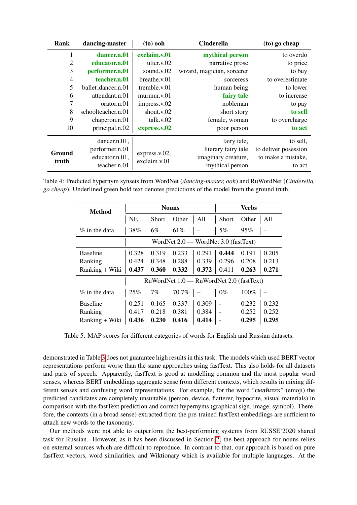<span id="page-6-1"></span>

| Rank           | dancing-master     | $(to)$ ooh    | <b>Cinderella</b>          | $(10)$ go cheap      |
|----------------|--------------------|---------------|----------------------------|----------------------|
|                | dancer.n.01        | exclaim.v.01  | mythical person            | to overdo            |
| $\overline{2}$ | educator.n.01      | utter. $v.02$ | narrative prose            | to price             |
| 3              | performer.n.01     | sound.v.02    | wizard, magician, sorcerer | to buy               |
| 4              | teacher.n.01       | breathe.v.01  | sorceress                  | to overestimate      |
| 5              | ballet_dancer.n.01 | tremble.v.01  | human being                | to lower             |
| 6              | attendant.n.01     | murnur.v.01   | fairy tale                 | to increase          |
| $\mathcal{I}$  | orator.n.01        | impress.v.02  | nobleman                   | to pay               |
| 8              | schoolteacher.n.01 | shout.v.02    | short story                | to sell              |
| 9              | chaperon.n.01      | talk.v.02     | female, woman              | to overcharge        |
| 10             | principal.n.02     | express.v.02  | poor person                | to act               |
|                | dancer.n.01,       |               | fairy tale,                | to sell,             |
| Ground         | performer.n.01     |               | literary fairy tale        | to deliver posession |
|                | educator.n.01,     | express.v.02, | imaginary creature,        | to make a mistake,   |
| truth          | teacher.n.01       | exclaim.v.01  | mythical person            | to act               |

<span id="page-6-0"></span>Table 4: Predicted hypernym synsets from WordNet (*dancing-master, ooh*) and RuWordNet (*Cinderella, go cheap*). Underlined green bold text denotes predictions of the model from the ground truth.

| <b>Method</b>                            |           |              | <b>Nouns</b>                         |       |       | <b>Verbs</b> |       |
|------------------------------------------|-----------|--------------|--------------------------------------|-------|-------|--------------|-------|
|                                          | <b>NE</b> | <b>Short</b> | Other                                | All   | Short | Other        | All   |
| $%$ in the data                          | 38%       | 6%           | 61\%                                 |       | 5%    | 95%          |       |
|                                          |           |              | WordNet 2.0 — WordNet 3.0 (fastText) |       |       |              |       |
| <b>Baseline</b>                          | 0.328     | 0.319        | 0.233                                | 0.291 | 0.444 | 0.191        | 0.205 |
| Ranking                                  | 0.424     | 0.348        | 0.288                                | 0.339 | 0.296 | 0.208        | 0.213 |
| Ranking + Wiki                           | 0.437     | 0.360        | 0.332                                | 0.372 | 0.411 | 0.263        | 0.271 |
| RuWordNet 1.0 - RuWordNet 2.0 (fastText) |           |              |                                      |       |       |              |       |
| $\%$ in the data                         | 25%       | 7%           | 70.7%                                |       | $0\%$ | 100%         |       |
| <b>Baseline</b>                          | 0.251     | 0.165        | 0.337                                | 0.309 |       | 0.232        | 0.232 |
| Ranking                                  | 0.417     | 0.218        | 0.381                                | 0.384 |       | 0.252        | 0.252 |
| Ranking + Wiki                           | 0.436     | 0.230        | 0.416                                | 0.414 |       | 0.295        | 0.295 |

Table 5: MAP scores for different categories of words for English and Russian datasets.

demonstrated in Table [3](#page-5-0) does not guarantee high results in this task. The models which used BERT vector representations perform worse than the same approaches using fastText. This also holds for all datasets and parts of speech. Apparently, fastText is good at modelling common and the most popular word senses, whereas BERT embeddings aggregate sense from different contexts, which results in mixing different senses and confusing word representations. For example, for the word "смайлик" (emoji) the predicted candidates are completely unsuitable (person, device, flatterer, hypocrite, visual materials) in comparison with the fastText prediction and correct hypernyms (graphical sign, image, symbol). Therefore, the contexts (in a broad sense) extracted from the pre-trained fastText embeddings are sufficient to attach new words to the taxonomy.

Our methods were not able to outperform the best-performing systems from RUSSE'2020 shared task for Russian. However, as it has been discussed in Section [2,](#page-1-1) the best approach for nouns relies on external sources which are difficult to reproduce. In contrast to that, our approach is based on pure fastText vectors, word similarities, and Wiktionary which is available for multiple languages. At the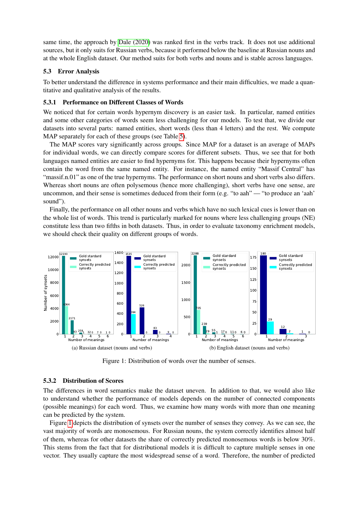same time, the approach by [Dale \(2020\)](#page-10-10) was ranked first in the verbs track. It does not use additional sources, but it only suits for Russian verbs, because it performed below the baseline at Russian nouns and at the whole English dataset. Our method suits for both verbs and nouns and is stable across languages.

## 5.3 Error Analysis

To better understand the difference in systems performance and their main difficulties, we made a quantitative and qualitative analysis of the results.

#### 5.3.1 Performance on Different Classes of Words

We noticed that for certain words hypernym discovery is an easier task. In particular, named entities and some other categories of words seem less challenging for our models. To test that, we divide our datasets into several parts: named entities, short words (less than 4 letters) and the rest. We compute MAP separately for each of these groups (see Table [5\)](#page-6-0).

The MAP scores vary significantly across groups. Since MAP for a dataset is an average of MAPs for individual words, we can directly compare scores for different subsets. Thus, we see that for both languages named entities are easier to find hypernyms for. This happens because their hypernyms often contain the word from the same named entity. For instance, the named entity "Massif Central" has "massif.n.01" as one of the true hypernyms. The performance on short nouns and short verbs also differs. Whereas short nouns are often polysemous (hence more challenging), short verbs have one sense, are uncommon, and their sense is sometimes deduced from their form (e.g. "to aah" — "to produce an 'aah' sound").

Finally, the performance on all other nouns and verbs which have no such lexical cues is lower than on the whole list of words. This trend is particularly marked for nouns where less challenging groups (NE) constitute less than two fifths in both datasets. Thus, in order to evaluate taxonomy enrichment models, we should check their quality on different groups of words.

<span id="page-7-0"></span>

Figure 1: Distribution of words over the number of senses.

#### 5.3.2 Distribution of Scores

The differences in word semantics make the dataset uneven. In addition to that, we would also like to understand whether the performance of models depends on the number of connected components (possible meanings) for each word. Thus, we examine how many words with more than one meaning can be predicted by the system.

Figure [1](#page-7-0) depicts the distribution of synsets over the number of senses they convey. As we can see, the vast majority of words are monosemous. For Russian nouns, the system correctly identifies almost half of them, whereas for other datasets the share of correctly predicted monosemous words is below 30%. This stems from the fact that for distributional models it is difficult to capture multiple senses in one vector. They usually capture the most widespread sense of a word. Therefore, the number of predicted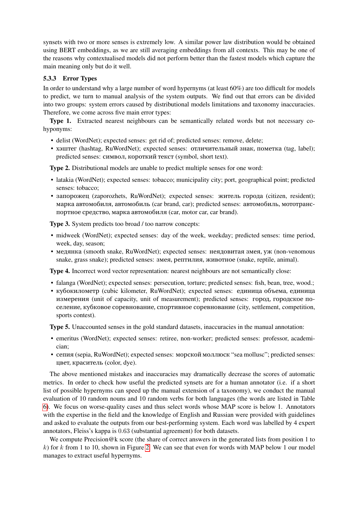synsets with two or more senses is extremely low. A similar power law distribution would be obtained using BERT embeddings, as we are still averaging embeddings from all contexts. This may be one of the reasons why contextualised models did not perform better than the fastest models which capture the main meaning only but do it well.

# 5.3.3 Error Types

In order to understand why a large number of word hypernyms (at least 60%) are too difficult for models to predict, we turn to manual analysis of the system outputs. We find out that errors can be divided into two groups: system errors caused by distributional models limitations and taxonomy inaccuracies. Therefore, we come across five main error types:

Type 1. Extracted nearest neighbours can be semantically related words but not necessary cohyponyms:

- delist (WordNet); expected senses: get rid of; predicted senses: remove, delete;
- хэштег (hashtag, RuWordNet); expected senses: отличительный знак, пометка (tag, label); predicted senses: символ, короткий текст (symbol, short text).

Type 2. Distributional models are unable to predict multiple senses for one word:

- latakia (WordNet); expected senses: tobacco; municipality city; port, geographical point; predicted senses: tobacco;
- запорожец (zaporozhets, RuWordNet); expected senses: житель города (citizen, resident); марка автомобиля, автомобиль (car brand, car); predicted senses: автомобиль, мототранспортное средство, марка автомобиля (car, motor car, car brand).

Type 3. System predicts too broad / too narrow concepts:

- midweek (WordNet); expected senses: day of the week, weekday; predicted senses: time period, week, day, season;
- медянка (smooth snake, RuWordNet); expected senses: неядовитая змея, уж (non-venomous snake, grass snake); predicted senses: змея, рептилия, животное (snake, reptile, animal).

Type 4. Incorrect word vector representation: nearest neighbours are not semantically close:

- falanga (WordNet); expected senses: persecution, torture; predicted senses: fish, bean, tree, wood.;
- кубокилометр (cubic kilometer, RuWordNet); expected senses: единица объема, единица измерения (unit of capacity, unit of measurement); predicted senses: город, городское поселение, кубковое соревнование, спортивное соревнование (city, settlement, competition, sports contest).

Type 5. Unaccounted senses in the gold standard datasets, inaccuracies in the manual annotation:

- emeritus (WordNet); expected senses: retiree, non-worker; predicted senses: professor, academician;
- сепия (sepia, RuWordNet); expected senses: морской моллюск "sea mollusc"; predicted senses: цвет, краситель (color, dye).

The above mentioned mistakes and inaccuracies may dramatically decrease the scores of automatic metrics. In order to check how useful the predicted synsets are for a human annotator (i.e. if a short list of possible hypernyms can speed up the manual extension of a taxonomy), we conduct the manual evaluation of 10 random nouns and 10 random verbs for both languages (the words are listed in Table [6\)](#page-9-1). We focus on worse-quality cases and thus select words whose MAP score is below 1. Annotators with the expertise in the field and the knowledge of English and Russian were provided with guidelines and asked to evaluate the outputs from our best-performing system. Each word was labelled by 4 expert annotators, Fleiss's kappa is 0.63 (substantial agreement) for both datasets.

We compute Precision @k score (the share of correct answers in the generated lists from position 1 to  $k$ ) for k from 1 to 10, shown in Figure [2.](#page-9-2) We can see that even for words with MAP below 1 our model manages to extract useful hypernyms.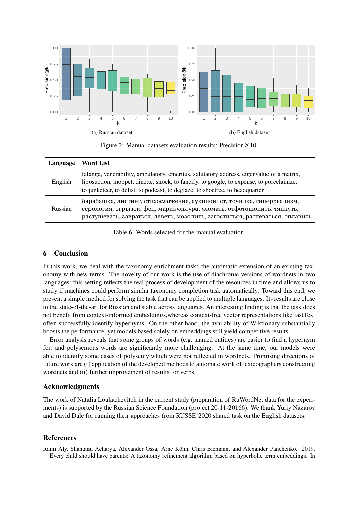<span id="page-9-2"></span>

Figure 2: Manual datasets evaluation results: Precision@10.

<span id="page-9-1"></span>

| Language | Word List                                                                                                                                                                                                                                                            |
|----------|----------------------------------------------------------------------------------------------------------------------------------------------------------------------------------------------------------------------------------------------------------------------|
| English  | falanga, venerability, ambulatory, emeritus, salutatory address, eigenvalue of a matrix,<br>liposuction, moppet, dinette, snoek, to fancify, to google, to expense, to porcelainize,<br>to junketeer, to delist, to podcast, to deglaze, to shoetree, to headquarter |
| Russian  | барабашка, листинг, стихосложение, аукционист, точилка, гиперреализм,<br>серология, огрызок, фен, марикультура, уломать, отфотошопить, тяпнуть,<br>растушевать, завраться, леветь, мозолить, загоститься, распеваться, оплавить                                      |

Table 6: Words selected for the manual evaluation.

# 6 Conclusion

In this work, we deal with the taxonomy enrichment task: the automatic extension of an existing taxonomy with new terms. The novelty of our work is the use of diachronic versions of wordnets in two languages: this setting reflects the real process of development of the resources in time and allows us to study if machines could perform similar taxonomy completion task automatically. Toward this end, we present a simple method for solving the task that can be applied to multiple languages. Its results are close to the state-of-the-art for Russian and stable across languages. An interesting finding is that the task does not benefit from context-informed embeddings,whereas context-free vector representations like fastText often successfully identify hypernyms. On the other hand, the availability of Wiktionary substantially boosts the performance, yet models based solely on embeddings still yield competitive results.

Error analysis reveals that some groups of words (e.g. named entities) are easier to find a hypernym for, and polysemous words are significantly more challenging. At the same time, our models were able to identify some cases of polysemy which were not reflected in wordnets. Promising directions of future work are (i) application of the developed methods to automate work of lexicographers constructing wordnets and (ii) further improvement of results for verbs.

# Acknowledgments

The work of Natalia Loukachevitch in the current study (preparation of RuWordNet data for the experiments) is supported by the Russian Science Foundation (project 20-11-20166). We thank Yuriy Nazarov and David Dale for running their approaches from RUSSE'2020 shared task on the English datasets.

# References

<span id="page-9-0"></span>Rami Aly, Shantanu Acharya, Alexander Ossa, Arne Köhn, Chris Biemann, and Alexander Panchenko. 2019. Every child should have parents: A taxonomy refinement algorithm based on hyperbolic term embeddings. In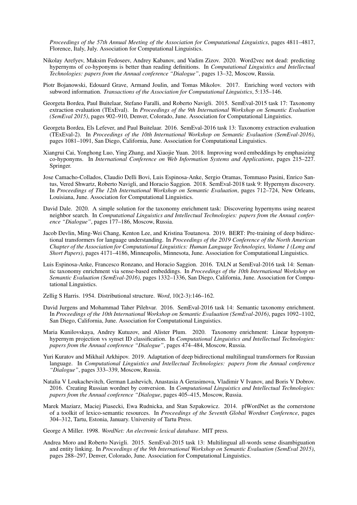*Proceedings of the 57th Annual Meeting of the Association for Computational Linguistics*, pages 4811–4817, Florence, Italy, July. Association for Computational Linguistics.

- <span id="page-10-11"></span>Nikolay Arefyev, Maksim Fedoseev, Andrey Kabanov, and Vadim Zizov. 2020. Word2vec not dead: predicting hypernyms of co-hyponyms is better than reading definitions. In *Computational Linguistics and Intellectual Technologies: papers from the Annual conference "Dialogue"*, pages 13–32, Moscow, Russia.
- <span id="page-10-14"></span>Piotr Bojanowski, Edouard Grave, Armand Joulin, and Tomas Mikolov. 2017. Enriching word vectors with subword information. *Transactions of the Association for Computational Linguistics*, 5:135–146.
- <span id="page-10-5"></span>Georgeta Bordea, Paul Buitelaar, Stefano Faralli, and Roberto Navigli. 2015. SemEval-2015 task 17: Taxonomy extraction evaluation (TExEval). In *Proceedings of the 9th International Workshop on Semantic Evaluation (SemEval 2015)*, pages 902–910, Denver, Colorado, June. Association for Computational Linguistics.
- <span id="page-10-6"></span>Georgeta Bordea, Els Lefever, and Paul Buitelaar. 2016. SemEval-2016 task 13: Taxonomy extraction evaluation (TExEval-2). In *Proceedings of the 10th International Workshop on Semantic Evaluation (SemEval-2016)*, pages 1081–1091, San Diego, California, June. Association for Computational Linguistics.
- <span id="page-10-12"></span>Xiangrui Cai, Yonghong Luo, Ying Zhang, and Xiaojie Yuan. 2018. Improving word embeddings by emphasizing co-hyponyms. In *International Conference on Web Information Systems and Applications*, pages 215–227. Springer.
- <span id="page-10-4"></span>Jose Camacho-Collados, Claudio Delli Bovi, Luis Espinosa-Anke, Sergio Oramas, Tommaso Pasini, Enrico Santus, Vered Shwartz, Roberto Navigli, and Horacio Saggion. 2018. SemEval-2018 task 9: Hypernym discovery. In *Proceedings of The 12th International Workshop on Semantic Evaluation*, pages 712–724, New Orleans, Louisiana, June. Association for Computational Linguistics.
- <span id="page-10-10"></span>David Dale. 2020. A simple solution for the taxonomy enrichment task: Discovering hypernyms using nearest neighbor search. In *Computational Linguistics and Intellectual Technologies: papers from the Annual conference "Dialogue"*, pages 177–186, Moscow, Russia.
- <span id="page-10-15"></span>Jacob Devlin, Ming-Wei Chang, Kenton Lee, and Kristina Toutanova. 2019. BERT: Pre-training of deep bidirectional transformers for language understanding. In *Proceedings of the 2019 Conference of the North American Chapter of the Association for Computational Linguistics: Human Language Technologies, Volume 1 (Long and Short Papers)*, pages 4171–4186, Minneapolis, Minnesota, June. Association for Computational Linguistics.
- <span id="page-10-7"></span>Luis Espinosa-Anke, Francesco Ronzano, and Horacio Saggion. 2016. TALN at SemEval-2016 task 14: Semantic taxonomy enrichment via sense-based embeddings. In *Proceedings of the 10th International Workshop on Semantic Evaluation (SemEval-2016)*, pages 1332–1336, San Diego, California, June. Association for Computational Linguistics.

<span id="page-10-13"></span>Zellig S Harris. 1954. Distributional structure. *Word*, 10(2-3):146–162.

- <span id="page-10-3"></span>David Jurgens and Mohammad Taher Pilehvar. 2016. SemEval-2016 task 14: Semantic taxonomy enrichment. In *Proceedings of the 10th International Workshop on Semantic Evaluation (SemEval-2016)*, pages 1092–1102, San Diego, California, June. Association for Computational Linguistics.
- <span id="page-10-9"></span>Maria Kunilovskaya, Andrey Kutuzov, and Alister Plum. 2020. Taxonomy enrichment: Linear hyponymhypernym projection vs synset ID classification. In *Computational Linguistics and Intellectual Technologies: papers from the Annual conference "Dialogue"*, pages 474–484, Moscow, Russia.
- <span id="page-10-16"></span>Yuri Kuratov and Mikhail Arkhipov. 2019. Adaptation of deep bidirectional multilingual transformers for Russian language. In *Computational Linguistics and Intellectual Technologies: papers from the Annual conference "Dialogue"*, pages 333–339, Moscow, Russia.
- <span id="page-10-8"></span>Natalia V Loukachevitch, German Lashevich, Anastasia A Gerasimova, Vladimir V Ivanov, and Boris V Dobrov. 2016. Creating Russian wordnet by conversion. In *Computational Linguistics and Intellectual Technologies: papers from the Annual conference "Dialogue*, pages 405–415, Moscow, Russia.
- <span id="page-10-2"></span>Marek Maziarz, Maciej Piasecki, Ewa Rudnicka, and Stan Szpakowicz. 2014. plWordNet as the cornerstone of a toolkit of lexico-semantic resources. In *Proceedings of the Seventh Global Wordnet Conference*, pages 304–312, Tartu, Estonia, January. University of Tartu Press.

<span id="page-10-0"></span>George A Miller. 1998. *WordNet: An electronic lexical database*. MIT press.

<span id="page-10-1"></span>Andrea Moro and Roberto Navigli. 2015. SemEval-2015 task 13: Multilingual all-words sense disambiguation and entity linking. In *Proceedings of the 9th International Workshop on Semantic Evaluation (SemEval 2015)*, pages 288–297, Denver, Colorado, June. Association for Computational Linguistics.